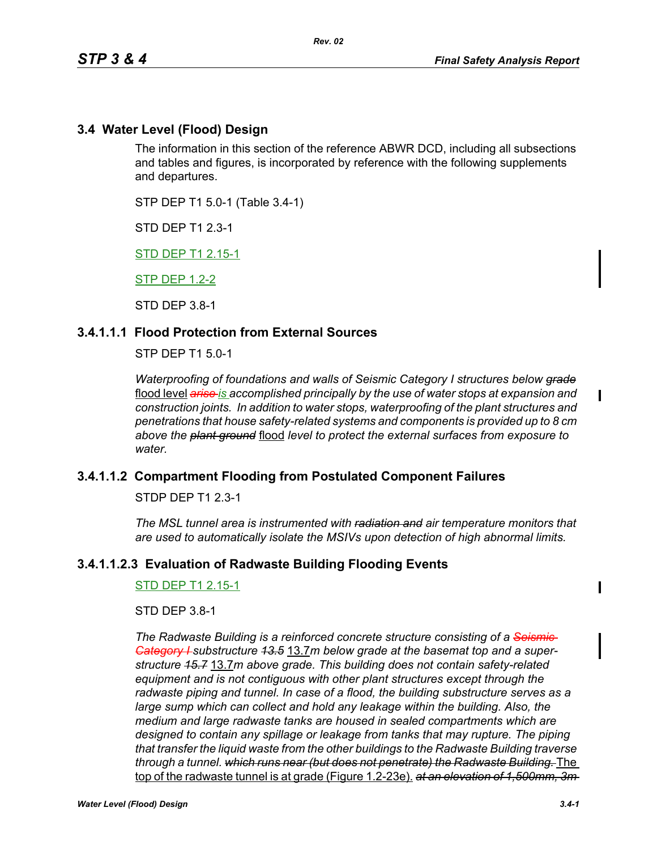## **3.4 Water Level (Flood) Design**

The information in this section of the reference ABWR DCD, including all subsections and tables and figures, is incorporated by reference with the following supplements and departures.

STP DEP T1 5.0-1 (Table 3.4-1)

STD DEP T1 2.3-1

STD DEP T1 2.15-1

STP DEP 1.2-2

STD DEP 3.8-1

## **3.4.1.1.1 Flood Protection from External Sources**

STP DEP T1 5.0-1

*Waterproofing of foundations and walls of Seismic Category I structures below grade* flood level *arise is accomplished principally by the use of water stops at expansion and construction joints. In addition to water stops, waterproofing of the plant structures and penetrations that house safety-related systems and components is provided up to 8 cm above the plant ground* flood *level to protect the external surfaces from exposure to water.*

## **3.4.1.1.2 Compartment Flooding from Postulated Component Failures**

STDP DEP T1 2.3-1

*The MSL tunnel area is instrumented with radiation and air temperature monitors that are used to automatically isolate the MSIVs upon detection of high abnormal limits.*

## **3.4.1.1.2.3 Evaluation of Radwaste Building Flooding Events**

STD DEP T1 2.15-1

STD DEP 3.8-1

*The Radwaste Building is a reinforced concrete structure consisting of a Seismic Category I substructure 13.5* 13.7*m below grade at the basemat top and a superstructure 15.7* 13.7*m above grade. This building does not contain safety-related equipment and is not contiguous with other plant structures except through the radwaste piping and tunnel. In case of a flood, the building substructure serves as a large sump which can collect and hold any leakage within the building. Also, the medium and large radwaste tanks are housed in sealed compartments which are designed to contain any spillage or leakage from tanks that may rupture. The piping that transfer the liquid waste from the other buildings to the Radwaste Building traverse through a tunnel. which runs near (but does not penetrate) the Radwaste Building.* The top of the radwaste tunnel is at grade (Figure 1.2-23e). *at an elevation of 1,500mm, 3m*   $\mathbf I$ 

Π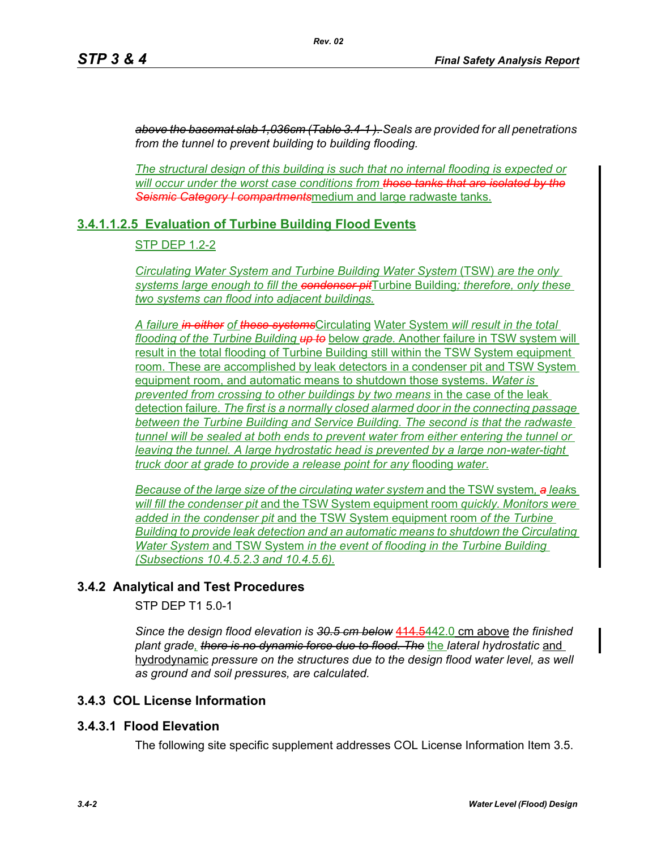*above the basemat slab 1,036cm (Table 3.4-1 ). Seals are provided for all penetrations from the tunnel to prevent building to building flooding.*

*The structural design of this building is such that no internal flooding is expected or will occur under the worst case conditions from those tanks that are isolated by the Seismic Category I compartments*medium and large radwaste tanks.

# **3.4.1.1.2.5 Evaluation of Turbine Building Flood Events**

## STP DEP 1.2-2

*Circulating Water System and Turbine Building Water System* (TSW) *are the only systems large enough to fill the condenser pit*Turbine Building*; therefore, only these two systems can flood into adjacent buildings.*

*A failure in either of these systems*Circulating Water System *will result in the total flooding of the Turbine Building up to* below *grade.* Another failure in TSW system will result in the total flooding of Turbine Building still within the TSW System equipment room. These are accomplished by leak detectors in a condenser pit and TSW System equipment room, and automatic means to shutdown those systems. *Water is prevented from crossing to other buildings by two means* in the case of the leak detection failure*. The first is a normally closed alarmed door in the connecting passage between the Turbine Building and Service Building. The second is that the radwaste tunnel will be sealed at both ends to prevent water from either entering the tunnel or leaving the tunnel. A large hydrostatic head is prevented by a large non-water-tight truck door at grade to provide a release point for any* flooding *water*.

*Because of the large size of the circulating water system* and the TSW system*, a leak*s *will fill the condenser pit* and the TSW System equipment room *quickly. Monitors were added in the condenser pit* and the TSW System equipment room *of the Turbine Building to provide leak detection and an automatic means to shutdown the Circulating Water System* and TSW System *in the event of flooding in the Turbine Building (Subsections 10.4.5.2.3 and 10.4.5.6).*

# **3.4.2 Analytical and Test Procedures**

STP DEP T1 5.0-1

*Since the design flood elevation is 30.5 cm below* 414.5442.0 cm above *the finished plant grade, there is no dynamic force due to flood. The* the *lateral hydrostatic* and hydrodynamic *pressure on the structures due to the design flood water level, as well as ground and soil pressures, are calculated.*

# **3.4.3 COL License Information**

## **3.4.3.1 Flood Elevation**

The following site specific supplement addresses COL License Information Item 3.5.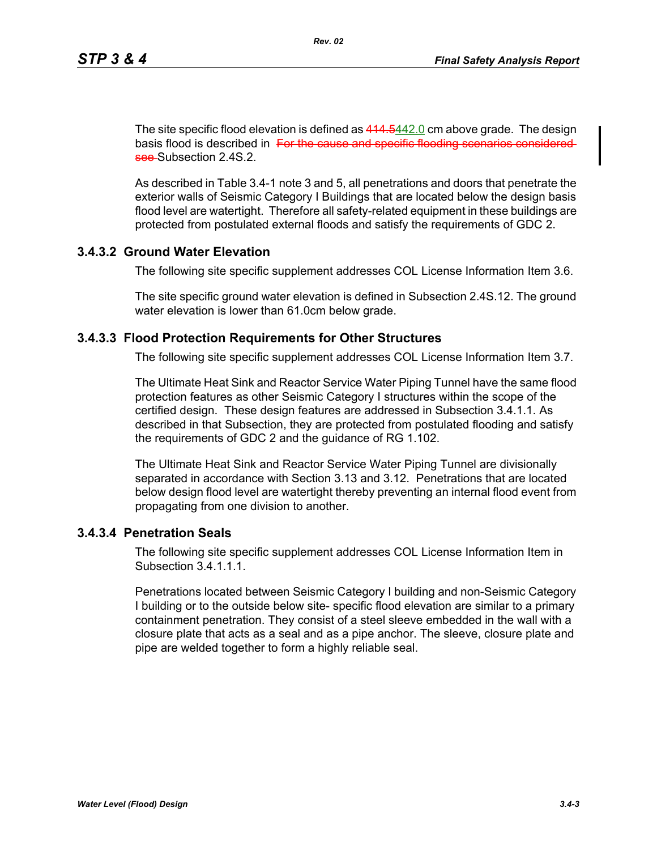The site specific flood elevation is defined as  $414.5442.0$  cm above grade. The design basis flood is described in For the cause and specific flooding scenarios consideredsee Subsection 2.4S.2.

As described in Table 3.4-1 note 3 and 5, all penetrations and doors that penetrate the exterior walls of Seismic Category I Buildings that are located below the design basis flood level are watertight. Therefore all safety-related equipment in these buildings are protected from postulated external floods and satisfy the requirements of GDC 2.

# **3.4.3.2 Ground Water Elevation**

The following site specific supplement addresses COL License Information Item 3.6.

The site specific ground water elevation is defined in Subsection 2.4S.12. The ground water elevation is lower than 61.0cm below grade.

## **3.4.3.3 Flood Protection Requirements for Other Structures**

The following site specific supplement addresses COL License Information Item 3.7.

The Ultimate Heat Sink and Reactor Service Water Piping Tunnel have the same flood protection features as other Seismic Category I structures within the scope of the certified design. These design features are addressed in Subsection 3.4.1.1. As described in that Subsection, they are protected from postulated flooding and satisfy the requirements of GDC 2 and the guidance of RG 1.102.

The Ultimate Heat Sink and Reactor Service Water Piping Tunnel are divisionally separated in accordance with Section 3.13 and 3.12. Penetrations that are located below design flood level are watertight thereby preventing an internal flood event from propagating from one division to another.

## **3.4.3.4 Penetration Seals**

The following site specific supplement addresses COL License Information Item in Subsection 3.4.1.1.1.

Penetrations located between Seismic Category I building and non-Seismic Category I building or to the outside below site- specific flood elevation are similar to a primary containment penetration. They consist of a steel sleeve embedded in the wall with a closure plate that acts as a seal and as a pipe anchor. The sleeve, closure plate and pipe are welded together to form a highly reliable seal.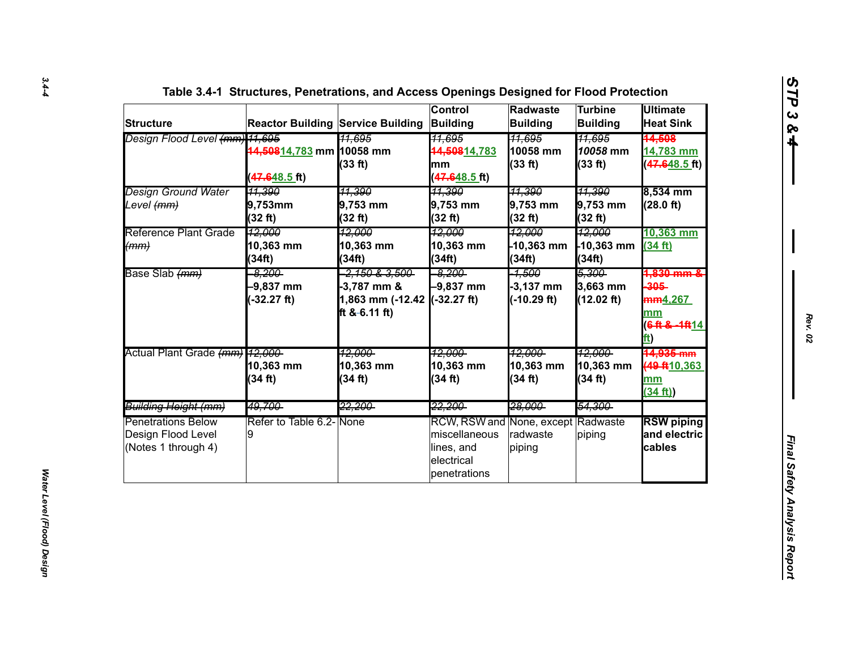| <b>Structure</b>                                                       |                                              | <b>Reactor Building Service Building Building</b>                                      | <b>Control</b>                                                                                  | Radwaste<br><b>Building</b>              | <b>Turbine</b><br><b>Building</b>           | <b>Ultimate</b><br><b>Heat Sink</b>                                                    |
|------------------------------------------------------------------------|----------------------------------------------|----------------------------------------------------------------------------------------|-------------------------------------------------------------------------------------------------|------------------------------------------|---------------------------------------------|----------------------------------------------------------------------------------------|
| Design Flood Level (mm) 11,695                                         | 44,50814,783 mm 10058 mm<br>$(47.648.5)$ ft) | <u>11.695</u><br>(33 ft)                                                               | <del>11,695</del><br>44,50814.783<br>mm<br>$(47.648.5)$ ft)                                     | <u> 11.695</u><br>10058 mm<br>(33 ft)    | <u>11.695</u><br>10058 mm<br>(33 ft)        | <del>14.508</del><br>14,783 mm<br>(47.648.5 ft)                                        |
| Design Ground Water<br>Level <del>(mm)</del>                           | <del>11,390</del><br>9,753mm<br>(32 ft)      | <u>11,390</u><br>9,753 mm<br>(32 ft)                                                   | 11,390<br>9,753 mm<br>(32 ft)                                                                   | <del>11,390</del><br>9,753 mm<br>(32 ft) | <del>11,390</del><br>9,753 mm<br>(32 ft)    | 8,534 mm<br>(28.0 ft)                                                                  |
| <b>Reference Plant Grade</b><br>(mm)                                   | 12,000<br>10,363 mm<br>(34ft)                | 12.000<br>10,363 mm<br>(34ft)                                                          | 12,000<br>10,363 mm<br>(34ft)                                                                   | 12,000<br>10,363 mm<br>(34ft)            | 12,000<br>$-10,363$ mm<br>(34ft)            | 10,363 mm<br>(34 ft)                                                                   |
| Base Slab (mm)                                                         | $-8.200$<br>$-9,837$ mm<br>$-32.27$ ft)      | <del>2,150 &amp; 3,500 -</del><br>$-3,787$ mm &<br>1,863 mm (-12.42<br>ft $8-6.11$ ft) | $-8.200$<br>-9,837 mm<br>$-32.27$ ft)                                                           | -1,500<br>$-3,137$ mm<br>$(-10.29 ft)$   | <del>5,300-</del><br>3,663 mm<br>(12.02 ft) | <del>1.830 mm {</del><br>$-305-$<br>mm <sub>4.267</sub><br>mm<br>6 ft & -1ft 14<br>ft) |
| Actual Plant Grade (mm) 12,000-                                        | 10,363 mm<br>(34 ft)                         | <u> 12.000-</u><br>10,363 mm<br>(34 ft)                                                | <u> 12.000-</u><br>10,363 mm<br>(34 ft)                                                         | <u> 12.000-</u><br>10,363 mm<br>(34 ft)  | <u> 12.000-</u><br>10,363 mm<br>(34 ft)     | <del>14,935 mm</del><br>49 ft 10, 363<br>mm<br>(34 ft)                                 |
| Building Height (mm)                                                   | 49,700                                       | 22,200-                                                                                | 22,200                                                                                          | 28.000                                   | 54,300                                      |                                                                                        |
| <b>Penetrations Below</b><br>Design Flood Level<br>(Notes 1 through 4) | Refer to Table 6.2-None<br>9                 |                                                                                        | RCW, RSW and None, except Radwaste<br>miscellaneous<br>lines, and<br>electrical<br>penetrations | radwaste<br>piping                       | piping                                      | <b>RSW piping</b><br>and electric<br>cables                                            |

*Rev. 02*